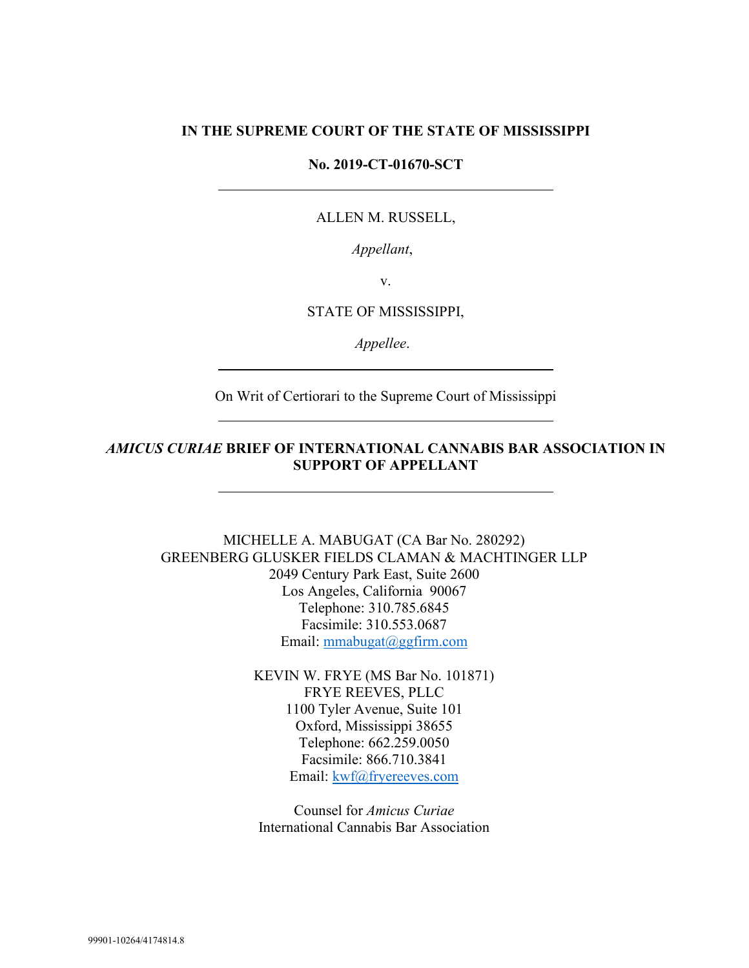### **IN THE SUPREME COURT OF THE STATE OF MISSISSIPPI**

#### **No. 2019-CT-01670-SCT**

#### ALLEN M. RUSSELL,

*Appellant*,

v.

#### STATE OF MISSISSIPPI,

*Appellee*.

On Writ of Certiorari to the Supreme Court of Mississippi

### *AMICUS CURIAE* **BRIEF OF INTERNATIONAL CANNABIS BAR ASSOCIATION IN SUPPORT OF APPELLANT**

MICHELLE A. MABUGAT (CA Bar No. 280292) GREENBERG GLUSKER FIELDS CLAMAN & MACHTINGER LLP 2049 Century Park East, Suite 2600 Los Angeles, California 90067 Telephone: 310.785.6845 Facsimile: 310.553.0687 Email: [mmabugat@ggfirm.com](mailto:mmabugat@ggfirm.com)

> KEVIN W. FRYE (MS Bar No. 101871) FRYE REEVES, PLLC 1100 Tyler Avenue, Suite 101 Oxford, Mississippi 38655 Telephone: 662.259.0050 Facsimile: 866.710.3841 Email: [kwf@fryereeves.com](mailto:kwf@fryereeves.com)

Counsel for *Amicus Curiae* International Cannabis Bar Association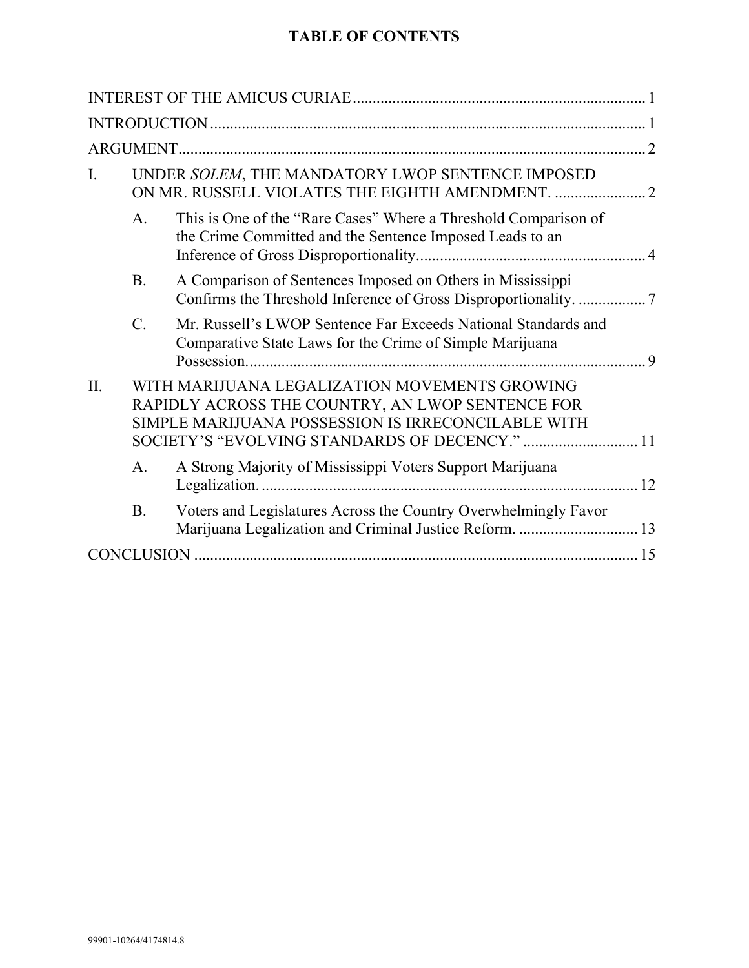# **TABLE OF CONTENTS**

| I.  |                | UNDER SOLEM, THE MANDATORY LWOP SENTENCE IMPOSED                                                                                                                                                          |  |  |
|-----|----------------|-----------------------------------------------------------------------------------------------------------------------------------------------------------------------------------------------------------|--|--|
|     | A <sub>1</sub> | This is One of the "Rare Cases" Where a Threshold Comparison of<br>the Crime Committed and the Sentence Imposed Leads to an                                                                               |  |  |
|     | <b>B.</b>      | A Comparison of Sentences Imposed on Others in Mississippi                                                                                                                                                |  |  |
|     | $C_{\cdot}$    | Mr. Russell's LWOP Sentence Far Exceeds National Standards and<br>Comparative State Laws for the Crime of Simple Marijuana<br>9                                                                           |  |  |
| II. |                | WITH MARIJUANA LEGALIZATION MOVEMENTS GROWING<br>RAPIDLY ACROSS THE COUNTRY, AN LWOP SENTENCE FOR<br>SIMPLE MARIJUANA POSSESSION IS IRRECONCILABLE WITH<br>SOCIETY'S "EVOLVING STANDARDS OF DECENCY."  11 |  |  |
|     | A.             | A Strong Majority of Mississippi Voters Support Marijuana                                                                                                                                                 |  |  |
|     | <b>B.</b>      | Voters and Legislatures Across the Country Overwhelmingly Favor<br>Marijuana Legalization and Criminal Justice Reform.  13                                                                                |  |  |
|     |                |                                                                                                                                                                                                           |  |  |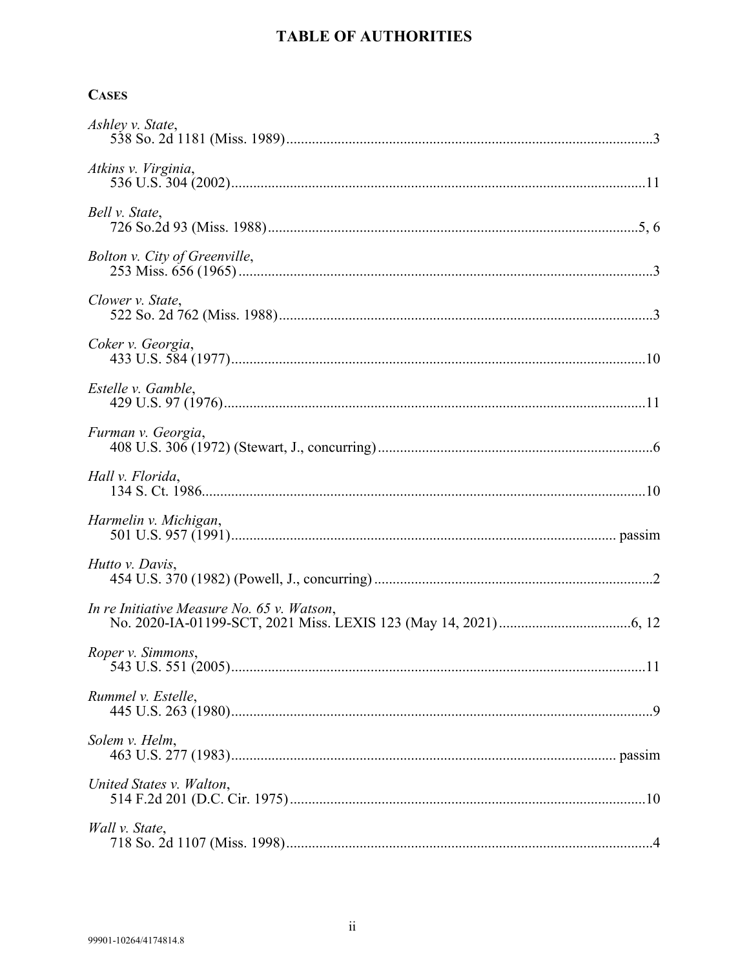## **CASES**

| Ashley v. State,                           |
|--------------------------------------------|
| Atkins v. Virginia,                        |
| Bell v. State,                             |
| Bolton v. City of Greenville,              |
| Clower v. State,                           |
| Coker v. Georgia,                          |
| Estelle v. Gamble,                         |
| Furman v. Georgia,                         |
| Hall v. Florida,                           |
| Harmelin v. Michigan,                      |
| Hutto v. Davis,                            |
| In re Initiative Measure No. 65 v. Watson, |
|                                            |
| Rummel v. Estelle,                         |
| Solem v. Helm,                             |
| United States v. Walton,                   |
| Wall v. State,                             |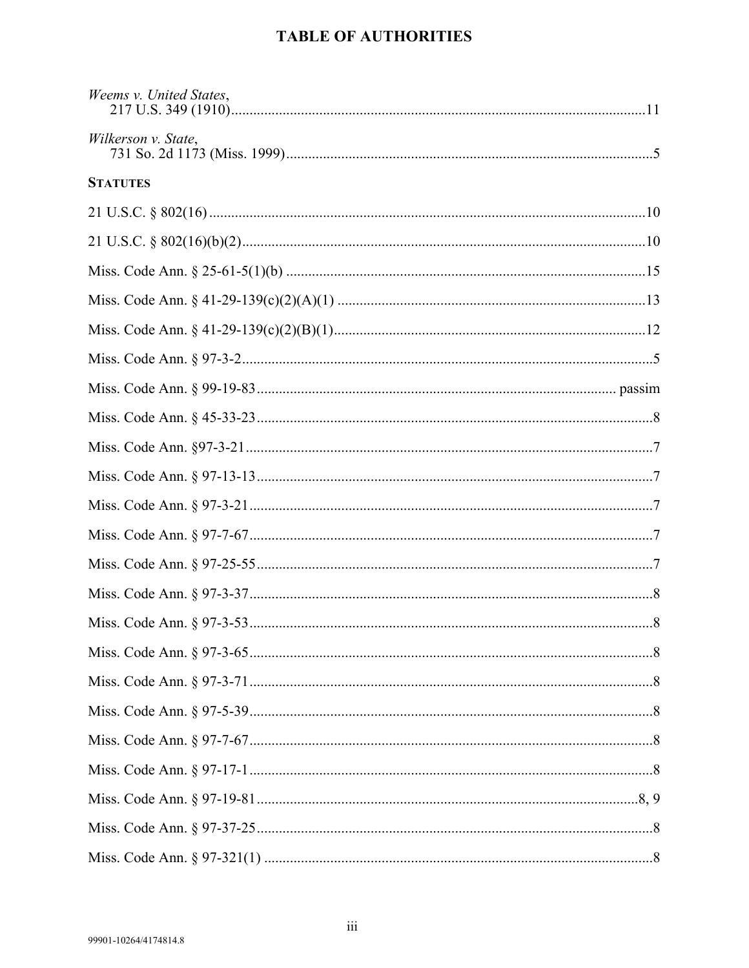| Weems v. United States, |
|-------------------------|
| Wilkerson v. State,     |
| <b>STATUTES</b>         |
|                         |
|                         |
|                         |
|                         |
|                         |
|                         |
|                         |
|                         |
|                         |
|                         |
|                         |
|                         |
|                         |
|                         |
|                         |
|                         |
|                         |
|                         |
|                         |
|                         |
|                         |
|                         |
|                         |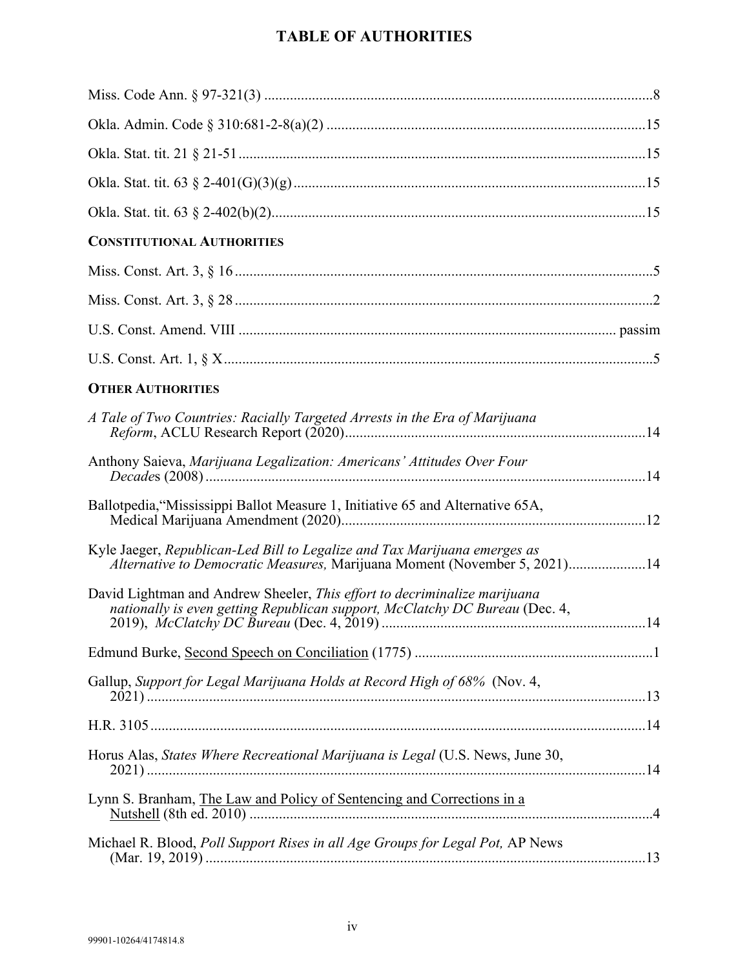| <b>CONSTITUTIONAL AUTHORITIES</b>                                                                                                                        |
|----------------------------------------------------------------------------------------------------------------------------------------------------------|
|                                                                                                                                                          |
|                                                                                                                                                          |
|                                                                                                                                                          |
|                                                                                                                                                          |
| <b>OTHER AUTHORITIES</b>                                                                                                                                 |
| A Tale of Two Countries: Racially Targeted Arrests in the Era of Marijuana                                                                               |
| Anthony Saieva, Marijuana Legalization: Americans' Attitudes Over Four                                                                                   |
| Ballotpedia, "Mississippi Ballot Measure 1, Initiative 65 and Alternative 65A,                                                                           |
| Kyle Jaeger, Republican-Led Bill to Legalize and Tax Marijuana emerges as<br>Alternative to Democratic Measures, Marijuana Moment (November 5, 2021)14   |
| David Lightman and Andrew Sheeler, This effort to decriminalize marijuana<br>nationally is even getting Republican support, McClatchy DC Bureau (Dec. 4, |
|                                                                                                                                                          |
| Gallup, Support for Legal Marijuana Holds at Record High of 68% (Nov. 4,                                                                                 |
|                                                                                                                                                          |
| Horus Alas, <i>States Where Recreational Marijuana is Legal</i> (U.S. News, June 30,                                                                     |
| Lynn S. Branham, The Law and Policy of Sentencing and Corrections in a                                                                                   |
| Michael R. Blood, Poll Support Rises in all Age Groups for Legal Pot, AP News                                                                            |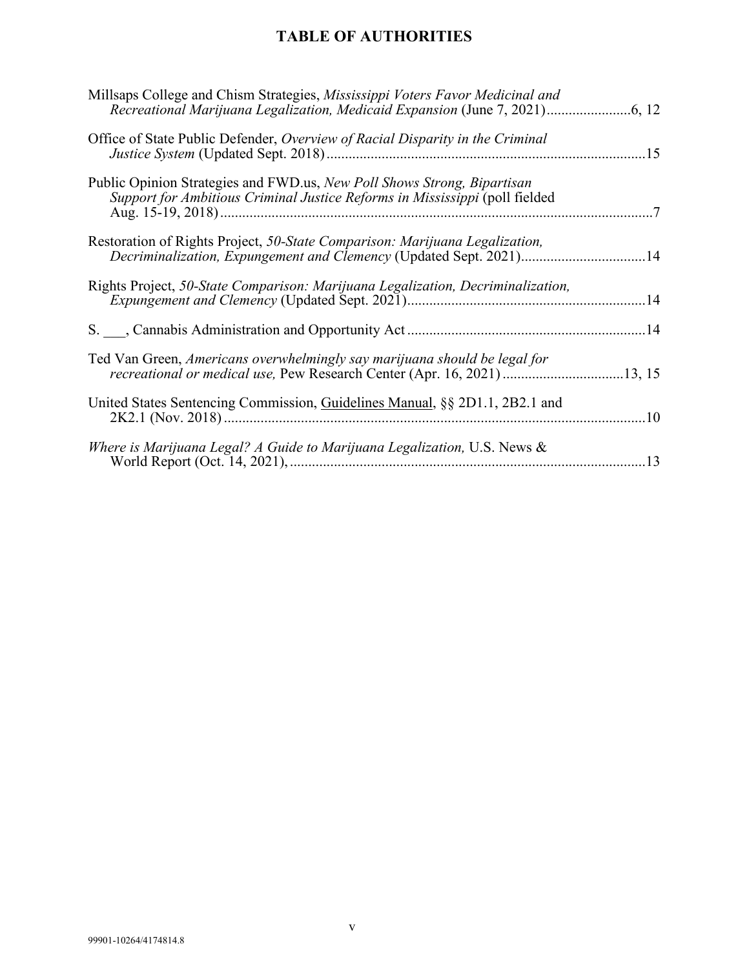| Millsaps College and Chism Strategies, Mississippi Voters Favor Medicinal and                                                                          |
|--------------------------------------------------------------------------------------------------------------------------------------------------------|
| Office of State Public Defender, Overview of Racial Disparity in the Criminal                                                                          |
| Public Opinion Strategies and FWD.us, New Poll Shows Strong, Bipartisan<br>Support for Ambitious Criminal Justice Reforms in Mississippi (poll fielded |
| Restoration of Rights Project, 50-State Comparison: Marijuana Legalization,<br>Decriminalization, Expungement and Clemency (Updated Sept. 2021)14      |
| Rights Project, 50-State Comparison: Marijuana Legalization, Decriminalization,                                                                        |
|                                                                                                                                                        |
| Ted Van Green, Americans overwhelmingly say marijuana should be legal for<br>recreational or medical use, Pew Research Center (Apr. 16, 2021) 13, 15   |
| United States Sentencing Commission, Guidelines Manual, §§ 2D1.1, 2B2.1 and                                                                            |
| Where is Marijuana Legal? A Guide to Marijuana Legalization, U.S. News &                                                                               |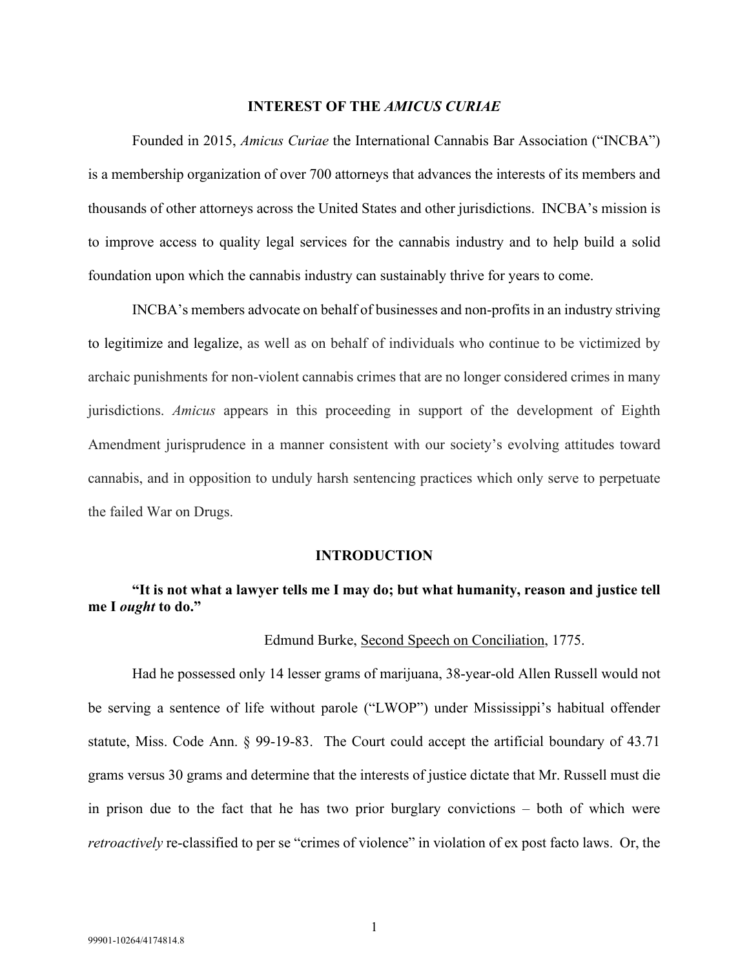#### **INTEREST OF THE** *AMICUS CURIAE*

<span id="page-6-0"></span>Founded in 2015, *Amicus Curiae* the International Cannabis Bar Association ("INCBA") is a membership organization of over 700 attorneys that advances the interests of its members and thousands of other attorneys across the United States and other jurisdictions. INCBA's mission is to improve access to quality legal services for the cannabis industry and to help build a solid foundation upon which the cannabis industry can sustainably thrive for years to come.

INCBA's members advocate on behalf of businesses and non-profits in an industry striving to legitimize and legalize, as well as on behalf of individuals who continue to be victimized by archaic punishments for non-violent cannabis crimes that are no longer considered crimes in many jurisdictions. *Amicus* appears in this proceeding in support of the development of Eighth Amendment jurisprudence in a manner consistent with our society's evolving attitudes toward cannabis, and in opposition to unduly harsh sentencing practices which only serve to perpetuate the failed War on Drugs.

#### **INTRODUCTION**

## <span id="page-6-1"></span>**"It is not what a lawyer tells me I may do; but what humanity, reason and justice tell me I** *ought* **to do."**

#### Edmund Burke, Second Speech on Conciliation, 1775.

Had he possessed only 14 lesser grams of marijuana, 38-year-old Allen Russell would not be serving a sentence of life without parole ("LWOP") under Mississippi's habitual offender statute, Miss. Code Ann. § 99-19-83. The Court could accept the artificial boundary of 43.71 grams versus 30 grams and determine that the interests of justice dictate that Mr. Russell must die in prison due to the fact that he has two prior burglary convictions – both of which were *retroactively* re-classified to per se "crimes of violence" in violation of ex post facto laws. Or, the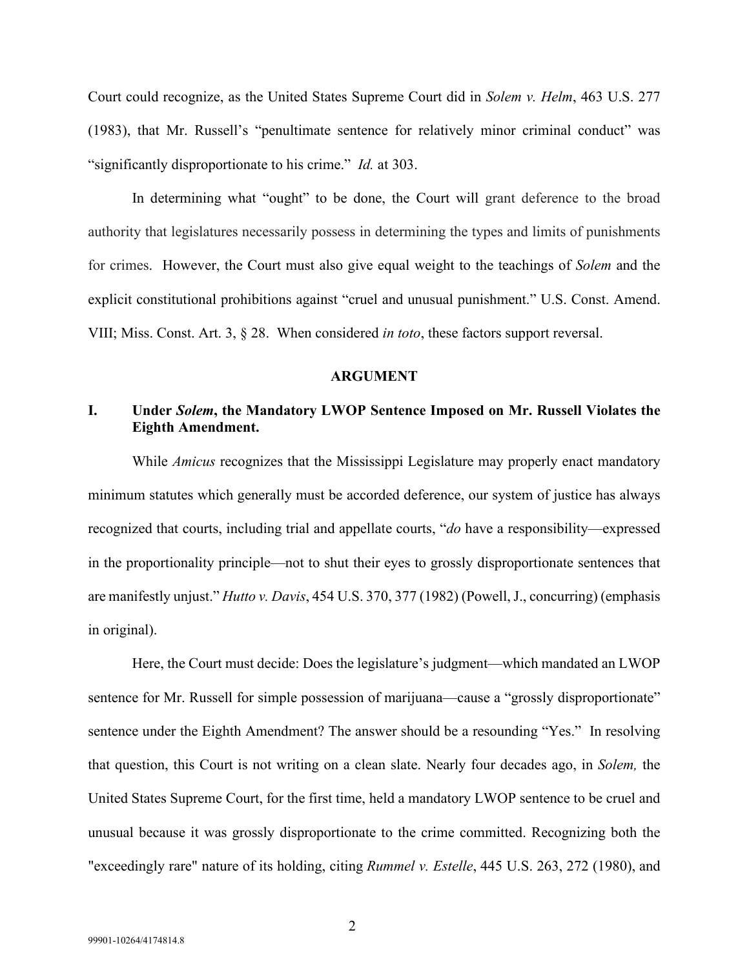Court could recognize, as the United States Supreme Court did in *Solem v. Helm*, 463 U.S. 277 (1983), that Mr. Russell's "penultimate sentence for relatively minor criminal conduct" was "significantly disproportionate to his crime." *Id.* at 303.

In determining what "ought" to be done, the Court will grant deference to the broad authority that legislatures necessarily possess in determining the types and limits of punishments for crimes. However, the Court must also give equal weight to the teachings of *Solem* and the explicit constitutional prohibitions against "cruel and unusual punishment." U.S. Const. Amend. VIII; Miss. Const. Art. 3, § 28. When considered *in toto*, these factors support reversal.

#### **ARGUMENT**

## <span id="page-7-1"></span><span id="page-7-0"></span>**I. Under** *Solem***, the Mandatory LWOP Sentence Imposed on Mr. Russell Violates the Eighth Amendment.**

While *Amicus* recognizes that the Mississippi Legislature may properly enact mandatory minimum statutes which generally must be accorded deference, our system of justice has always recognized that courts, including trial and appellate courts, "*do* have a responsibility—expressed in the proportionality principle—not to shut their eyes to grossly disproportionate sentences that are manifestly unjust." *Hutto v. Davis*, 454 U.S. 370, 377 (1982) (Powell, J., concurring) (emphasis in original).

Here, the Court must decide: Does the legislature's judgment—which mandated an LWOP sentence for Mr. Russell for simple possession of marijuana—cause a "grossly disproportionate" sentence under the Eighth Amendment? The answer should be a resounding "Yes." In resolving that question, this Court is not writing on a clean slate. Nearly four decades ago, in *Solem,* the United States Supreme Court, for the first time, held a mandatory LWOP sentence to be cruel and unusual because it was grossly disproportionate to the crime committed. Recognizing both the "exceedingly rare" nature of its holding, citing *Rummel v. Estelle*, 445 U.S. 263, 272 (1980), and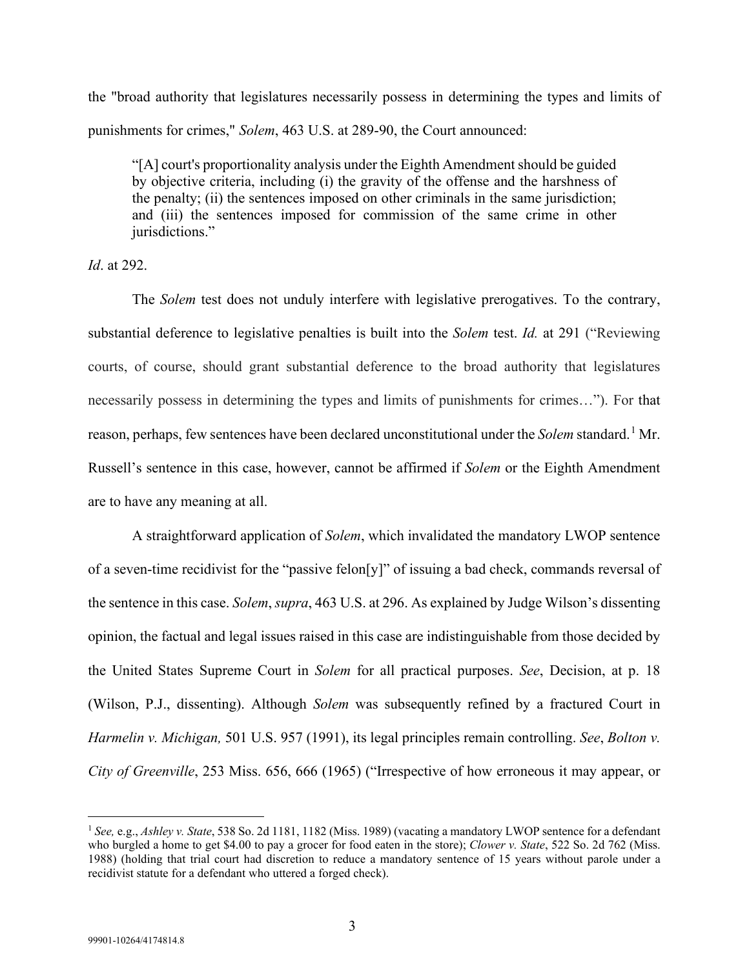the "broad authority that legislatures necessarily possess in determining the types and limits of punishments for crimes," *Solem*, 463 U.S. at 289-90, the Court announced:

"[A] court's proportionality analysis under the Eighth Amendment should be guided by objective criteria, including (i) the gravity of the offense and the harshness of the penalty; (ii) the sentences imposed on other criminals in the same jurisdiction; and (iii) the sentences imposed for commission of the same crime in other jurisdictions."

*Id*. at 292.

The *Solem* test does not unduly interfere with legislative prerogatives. To the contrary, substantial deference to legislative penalties is built into the *Solem* test. *Id.* at 291 ("Reviewing courts, of course, should grant substantial deference to the broad authority that legislatures necessarily possess in determining the types and limits of punishments for crimes…"). For that reason, perhaps, few sentences have been declared unconstitutional under the *Solem* standard. [1](#page-8-0) Mr. Russell's sentence in this case, however, cannot be affirmed if *Solem* or the Eighth Amendment are to have any meaning at all.

A straightforward application of *Solem*, which invalidated the mandatory LWOP sentence of a seven-time recidivist for the "passive felon[y]" of issuing a bad check, commands reversal of the sentence in this case. *Solem*, *supra*, 463 U.S. at 296. As explained by Judge Wilson's dissenting opinion, the factual and legal issues raised in this case are indistinguishable from those decided by the United States Supreme Court in *Solem* for all practical purposes. *See*, Decision, at p. 18 (Wilson, P.J., dissenting). Although *Solem* was subsequently refined by a fractured Court in *Harmelin v. Michigan,* 501 U.S. 957 (1991), its legal principles remain controlling. *See*, *Bolton v. City of Greenville*, 253 Miss. 656, 666 (1965) ("Irrespective of how erroneous it may appear, or

<span id="page-8-0"></span><sup>1</sup> *See,* e.g., *Ashley v. State*, 538 So. 2d 1181, 1182 (Miss. 1989) (vacating a mandatory LWOP sentence for a defendant who burgled a home to get \$4.00 to pay a grocer for food eaten in the store); *Clower v. State*, 522 So. 2d 762 (Miss. 1988) (holding that trial court had discretion to reduce a mandatory sentence of 15 years without parole under a recidivist statute for a defendant who uttered a forged check).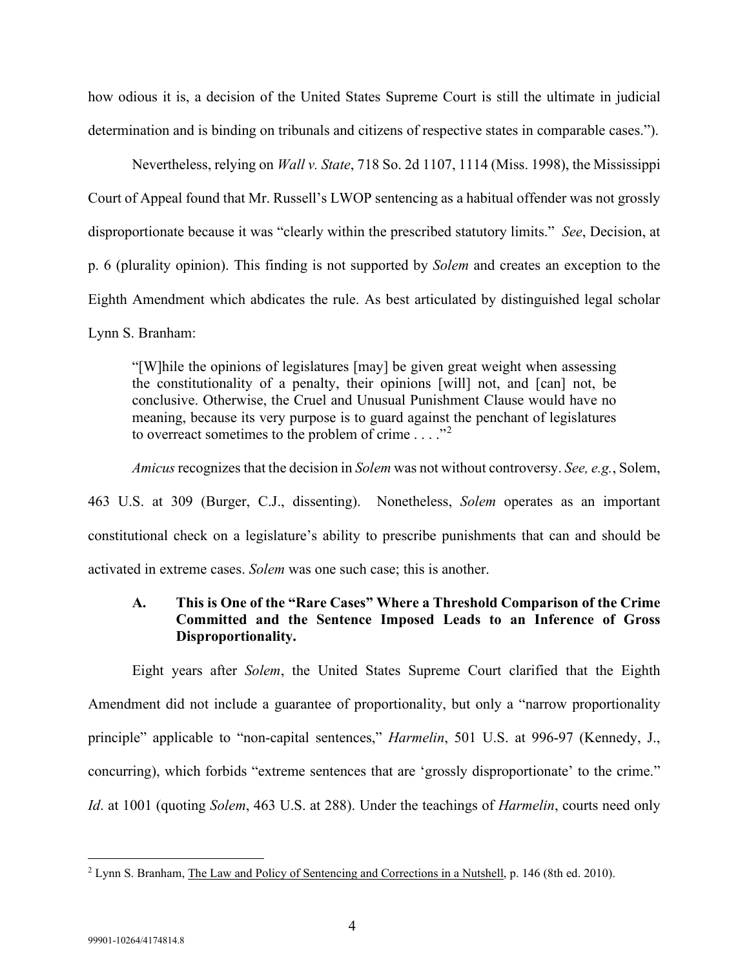how odious it is, a decision of the United States Supreme Court is still the ultimate in judicial determination and is binding on tribunals and citizens of respective states in comparable cases.").

Nevertheless, relying on *Wall v. State*, 718 So. 2d 1107, 1114 (Miss. 1998), the Mississippi Court of Appeal found that Mr. Russell's LWOP sentencing as a habitual offender was not grossly disproportionate because it was "clearly within the prescribed statutory limits." *See*, Decision, at p. 6 (plurality opinion). This finding is not supported by *Solem* and creates an exception to the Eighth Amendment which abdicates the rule. As best articulated by distinguished legal scholar Lynn S. Branham:

"[W]hile the opinions of legislatures [may] be given great weight when assessing the constitutionality of a penalty, their opinions [will] not, and [can] not, be conclusive. Otherwise, the Cruel and Unusual Punishment Clause would have no meaning, because its very purpose is to guard against the penchant of legislatures to overreact sometimes to the problem of crime  $\dots$ ."<sup>[2](#page-9-1)</sup>

*Amicus*recognizes that the decision in *Solem* was not without controversy. *See, e.g.*, Solem, 463 U.S. at 309 (Burger, C.J., dissenting). Nonetheless, *Solem* operates as an important constitutional check on a legislature's ability to prescribe punishments that can and should be activated in extreme cases. *Solem* was one such case; this is another.

## <span id="page-9-0"></span>**A. This is One of the "Rare Cases" Where a Threshold Comparison of the Crime Committed and the Sentence Imposed Leads to an Inference of Gross Disproportionality.**

Eight years after *Solem*, the United States Supreme Court clarified that the Eighth Amendment did not include a guarantee of proportionality, but only a "narrow proportionality principle" applicable to "non-capital sentences," *Harmelin*, 501 U.S. at 996-97 (Kennedy, J., concurring), which forbids "extreme sentences that are 'grossly disproportionate' to the crime." *Id*. at 1001 (quoting *Solem*, 463 U.S. at 288). Under the teachings of *Harmelin*, courts need only

<span id="page-9-1"></span><sup>2</sup> Lynn S. Branham, The Law and Policy of Sentencing and Corrections in a Nutshell, p. 146 (8th ed. 2010).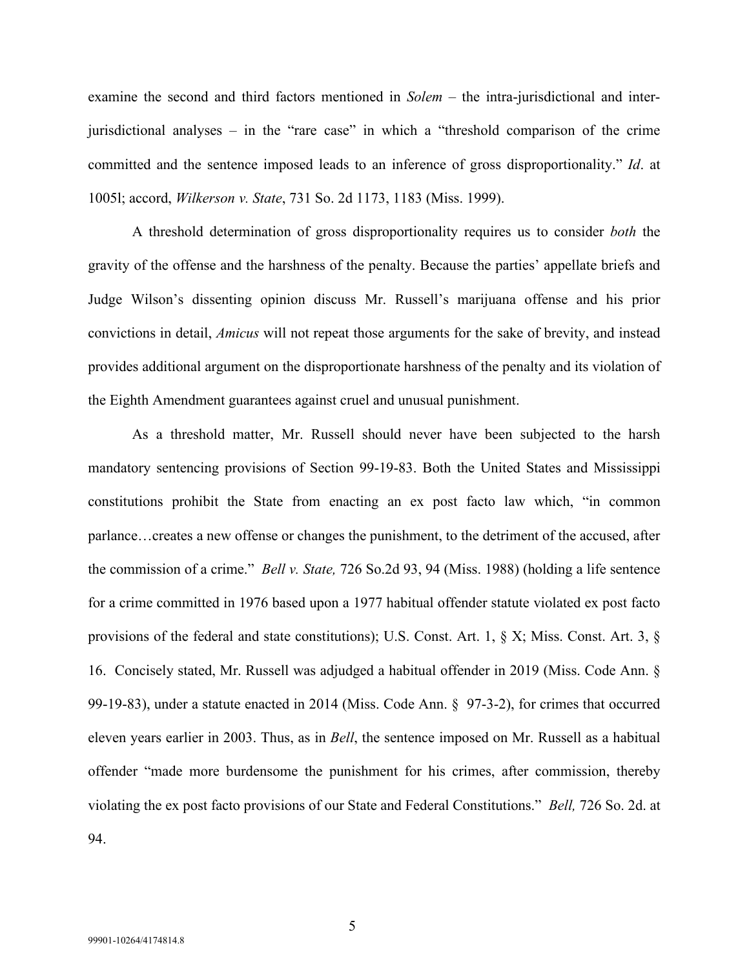examine the second and third factors mentioned in *Solem* – the intra-jurisdictional and interjurisdictional analyses – in the "rare case" in which a "threshold comparison of the crime committed and the sentence imposed leads to an inference of gross disproportionality." *Id*. at 1005l; accord, *Wilkerson v. State*, 731 So. 2d 1173, 1183 (Miss. 1999).

A threshold determination of gross disproportionality requires us to consider *both* the gravity of the offense and the harshness of the penalty. Because the parties' appellate briefs and Judge Wilson's dissenting opinion discuss Mr. Russell's marijuana offense and his prior convictions in detail, *Amicus* will not repeat those arguments for the sake of brevity, and instead provides additional argument on the disproportionate harshness of the penalty and its violation of the Eighth Amendment guarantees against cruel and unusual punishment.

As a threshold matter, Mr. Russell should never have been subjected to the harsh mandatory sentencing provisions of Section 99-19-83. Both the United States and Mississippi constitutions prohibit the State from enacting an ex post facto law which, "in common parlance…creates a new offense or changes the punishment, to the detriment of the accused, after the commission of a crime." *Bell v. State,* 726 So.2d 93, 94 (Miss. 1988) (holding a life sentence for a crime committed in 1976 based upon a 1977 habitual offender statute violated ex post facto provisions of the federal and state constitutions); U.S. Const. Art. 1, § X; Miss. Const. Art. 3, § 16. Concisely stated, Mr. Russell was adjudged a habitual offender in 2019 (Miss. Code Ann. § 99-19-83), under a statute enacted in 2014 (Miss. Code Ann. § 97-3-2), for crimes that occurred eleven years earlier in 2003. Thus, as in *Bell*, the sentence imposed on Mr. Russell as a habitual offender "made more burdensome the punishment for his crimes, after commission, thereby violating the ex post facto provisions of our State and Federal Constitutions." *Bell,* 726 So. 2d. at 94.

5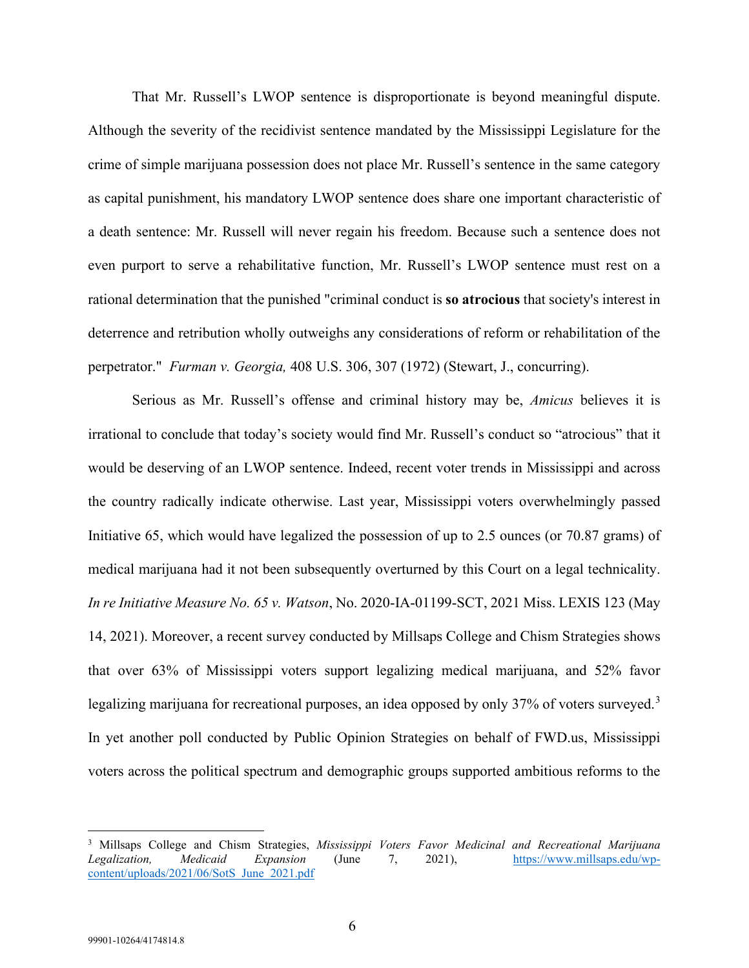That Mr. Russell's LWOP sentence is disproportionate is beyond meaningful dispute. Although the severity of the recidivist sentence mandated by the Mississippi Legislature for the crime of simple marijuana possession does not place Mr. Russell's sentence in the same category as capital punishment, his mandatory LWOP sentence does share one important characteristic of a death sentence: Mr. Russell will never regain his freedom. Because such a sentence does not even purport to serve a rehabilitative function, Mr. Russell's LWOP sentence must rest on a rational determination that the punished "criminal conduct is **so atrocious** that society's interest in deterrence and retribution wholly outweighs any considerations of reform or rehabilitation of the perpetrator." *Furman v. Georgia,* 408 U.S. 306, 307 (1972) (Stewart, J., concurring).

Serious as Mr. Russell's offense and criminal history may be, *Amicus* believes it is irrational to conclude that today's society would find Mr. Russell's conduct so "atrocious" that it would be deserving of an LWOP sentence. Indeed, recent voter trends in Mississippi and across the country radically indicate otherwise. Last year, Mississippi voters overwhelmingly passed Initiative 65, which would have legalized the possession of up to 2.5 ounces (or 70.87 grams) of medical marijuana had it not been subsequently overturned by this Court on a legal technicality. *In re Initiative Measure No. 65 v. Watson*, No. 2020-IA-01199-SCT, 2021 Miss. LEXIS 123 (May 14, 2021). Moreover, a recent survey conducted by Millsaps College and Chism Strategies shows that over 63% of Mississippi voters support legalizing medical marijuana, and 52% favor legalizing marijuana for recreational purposes, an idea opposed by only [3](#page-11-0)7% of voters surveyed.<sup>3</sup> In yet another poll conducted by Public Opinion Strategies on behalf of FWD.us, Mississippi voters across the political spectrum and demographic groups supported ambitious reforms to the

<span id="page-11-0"></span><sup>3</sup> Millsaps College and Chism Strategies, *Mississippi Voters Favor Medicinal and Recreational Marijuana Legalization, Medicaid Expansion* (June 7, 2021), [https://www.millsaps.edu/wp](https://www.millsaps.edu/wp-content/uploads/2021/06/SotS_June_2021.pdf)[content/uploads/2021/06/SotS\\_June\\_2021.pdf](https://www.millsaps.edu/wp-content/uploads/2021/06/SotS_June_2021.pdf)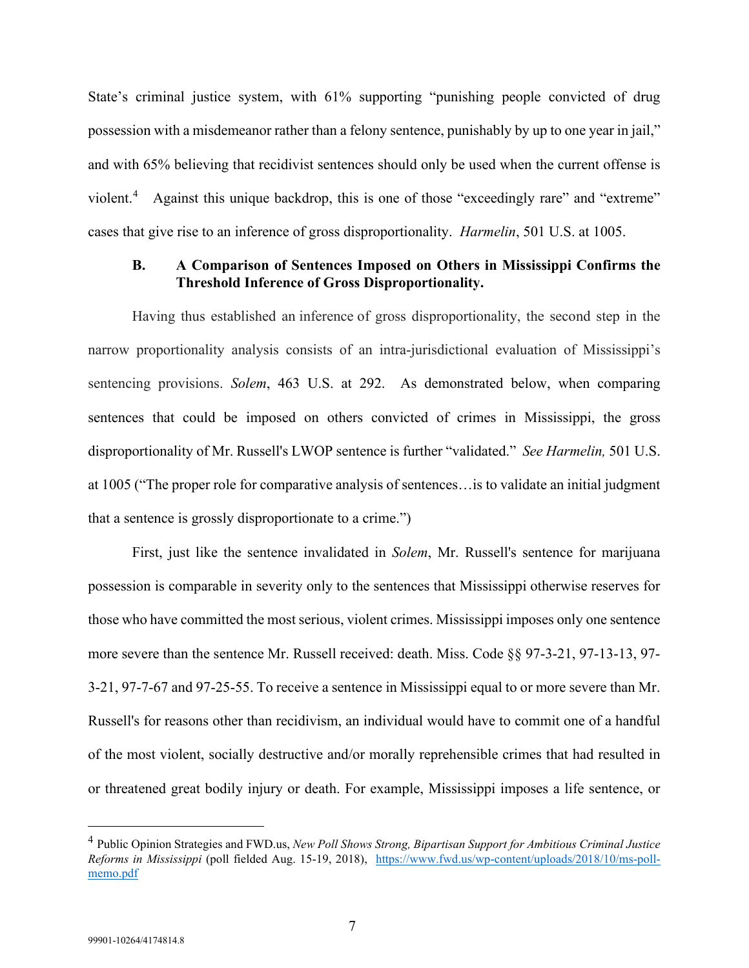State's criminal justice system, with 61% supporting "punishing people convicted of drug possession with a misdemeanor rather than a felony sentence, punishably by up to one year in jail," and with 65% believing that recidivist sentences should only be used when the current offense is violent.<sup>[4](#page-12-1)</sup> Against this unique backdrop, this is one of those "exceedingly rare" and "extreme" cases that give rise to an inference of gross disproportionality. *Harmelin*, 501 U.S. at 1005.

### <span id="page-12-0"></span>**B. A Comparison of Sentences Imposed on Others in Mississippi Confirms the Threshold Inference of Gross Disproportionality.**

Having thus established an inference of gross disproportionality, the second step in the narrow proportionality analysis consists of an intra-jurisdictional evaluation of Mississippi's sentencing provisions. *Solem*, 463 U.S. at 292. As demonstrated below, when comparing sentences that could be imposed on others convicted of crimes in Mississippi, the gross disproportionality of Mr. Russell's LWOP sentence is further "validated." *See Harmelin,* 501 U.S. at 1005 ("The proper role for comparative analysis of sentences…is to validate an initial judgment that a sentence is grossly disproportionate to a crime.")

First, just like the sentence invalidated in *Solem*, Mr. Russell's sentence for marijuana possession is comparable in severity only to the sentences that Mississippi otherwise reserves for those who have committed the most serious, violent crimes. Mississippi imposes only one sentence more severe than the sentence Mr. Russell received: death. Miss. Code §§ 97-3-21, 97-13-13, 97- 3-21, 97-7-67 and 97-25-55. To receive a sentence in Mississippi equal to or more severe than Mr. Russell's for reasons other than recidivism, an individual would have to commit one of a handful of the most violent, socially destructive and/or morally reprehensible crimes that had resulted in or threatened great bodily injury or death. For example, Mississippi imposes a life sentence, or

<span id="page-12-1"></span><sup>4</sup> Public Opinion Strategies and FWD.us, *New Poll Shows Strong, Bipartisan Support for Ambitious Criminal Justice Reforms in Mississippi* (poll fielded Aug. 15-19, 2018), [https://www.fwd.us/wp-content/uploads/2018/10/ms-poll](https://www.fwd.us/wp-content/uploads/2018/10/ms-poll-memo.pdf)[memo.pdf](https://www.fwd.us/wp-content/uploads/2018/10/ms-poll-memo.pdf)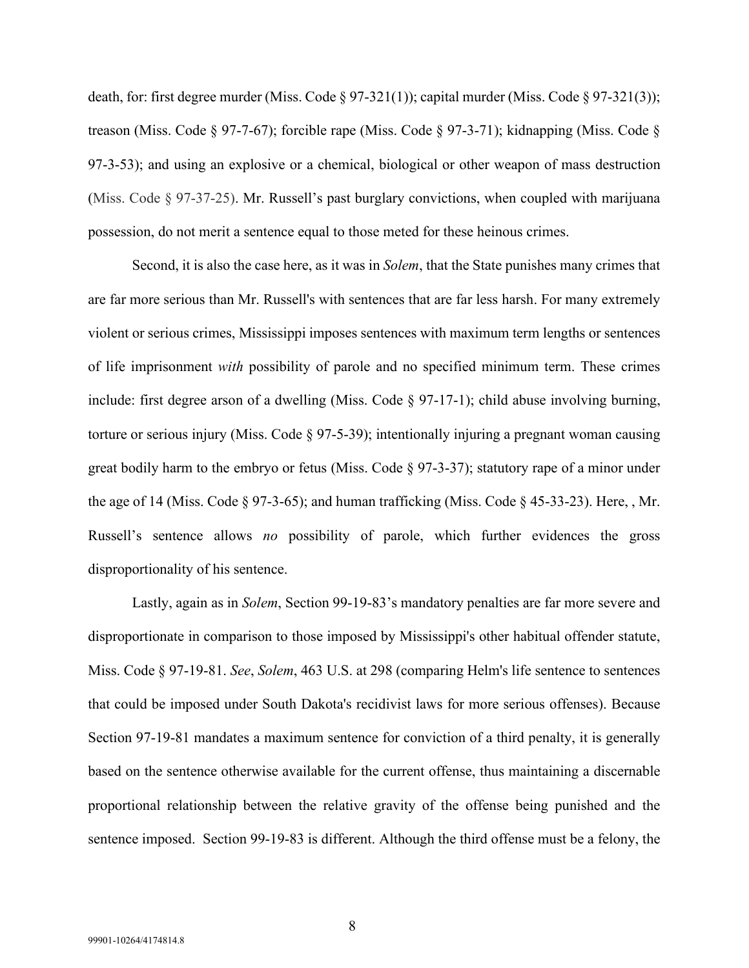death, for: first degree murder (Miss. Code § 97-321(1)); capital murder (Miss. Code § 97-321(3)); treason (Miss. Code § 97-7-67); forcible rape (Miss. Code § 97-3-71); kidnapping (Miss. Code § 97-3-53); and using an explosive or a chemical, biological or other weapon of mass destruction (Miss. Code § 97-37-25). Mr. Russell's past burglary convictions, when coupled with marijuana possession, do not merit a sentence equal to those meted for these heinous crimes.

Second, it is also the case here, as it was in *Solem*, that the State punishes many crimes that are far more serious than Mr. Russell's with sentences that are far less harsh. For many extremely violent or serious crimes, Mississippi imposes sentences with maximum term lengths or sentences of life imprisonment *with* possibility of parole and no specified minimum term. These crimes include: first degree arson of a dwelling (Miss. Code § 97-17-1); child abuse involving burning, torture or serious injury (Miss. Code § 97-5-39); intentionally injuring a pregnant woman causing great bodily harm to the embryo or fetus (Miss. Code  $\S$  97-3-37); statutory rape of a minor under the age of 14 (Miss. Code § 97-3-65); and human trafficking (Miss. Code § 45-33-23). Here, , Mr. Russell's sentence allows *no* possibility of parole, which further evidences the gross disproportionality of his sentence.

Lastly, again as in *Solem*, Section 99-19-83's mandatory penalties are far more severe and disproportionate in comparison to those imposed by Mississippi's other habitual offender statute, Miss. Code § 97-19-81. *See*, *Solem*, 463 U.S. at 298 (comparing Helm's life sentence to sentences that could be imposed under South Dakota's recidivist laws for more serious offenses). Because Section 97-19-81 mandates a maximum sentence for conviction of a third penalty, it is generally based on the sentence otherwise available for the current offense, thus maintaining a discernable proportional relationship between the relative gravity of the offense being punished and the sentence imposed. Section 99-19-83 is different. Although the third offense must be a felony, the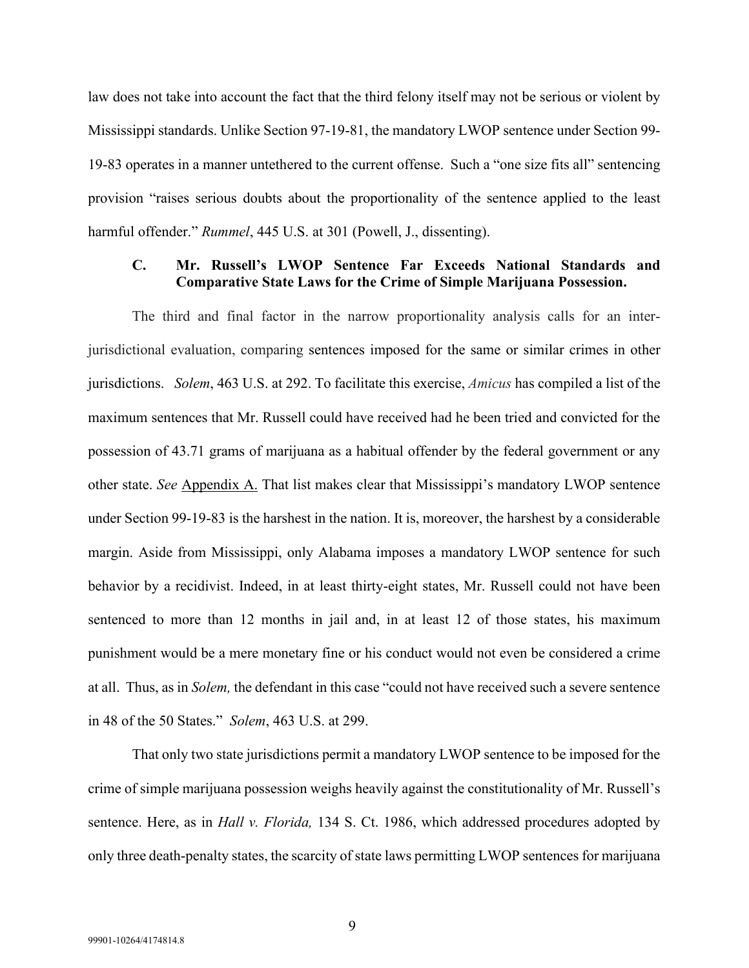law does not take into account the fact that the third felony itself may not be serious or violent by Mississippi standards. Unlike Section 97-19-81, the mandatory LWOP sentence under Section 99- 19-83 operates in a manner untethered to the current offense. Such a "one size fits all" sentencing provision "raises serious doubts about the proportionality of the sentence applied to the least harmful offender." *Rummel*, 445 U.S. at 301 (Powell, J., dissenting).

## <span id="page-14-0"></span>**C. Mr. Russell's LWOP Sentence Far Exceeds National Standards and Comparative State Laws for the Crime of Simple Marijuana Possession.**

The third and final factor in the narrow proportionality analysis calls for an interjurisdictional evaluation, comparing sentences imposed for the same or similar crimes in other jurisdictions. *Solem*, 463 U.S. at 292. To facilitate this exercise, *Amicus* has compiled a list of the maximum sentences that Mr. Russell could have received had he been tried and convicted for the possession of 43.71 grams of marijuana as a habitual offender by the federal government or any other state. *See* Appendix A. That list makes clear that Mississippi's mandatory LWOP sentence under Section 99-19-83 is the harshest in the nation. It is, moreover, the harshest by a considerable margin. Aside from Mississippi, only Alabama imposes a mandatory LWOP sentence for such behavior by a recidivist. Indeed, in at least thirty-eight states, Mr. Russell could not have been sentenced to more than 12 months in jail and, in at least 12 of those states, his maximum punishment would be a mere monetary fine or his conduct would not even be considered a crime at all. Thus, as in *Solem,* the defendant in this case "could not have received such a severe sentence in 48 of the 50 States." *Solem*, 463 U.S. at 299.

That only two state jurisdictions permit a mandatory LWOP sentence to be imposed for the crime of simple marijuana possession weighs heavily against the constitutionality of Mr. Russell's sentence. Here, as in *Hall v. Florida,* 134 S. Ct. 1986, which addressed procedures adopted by only three death-penalty states, the scarcity of state laws permitting LWOP sentences for marijuana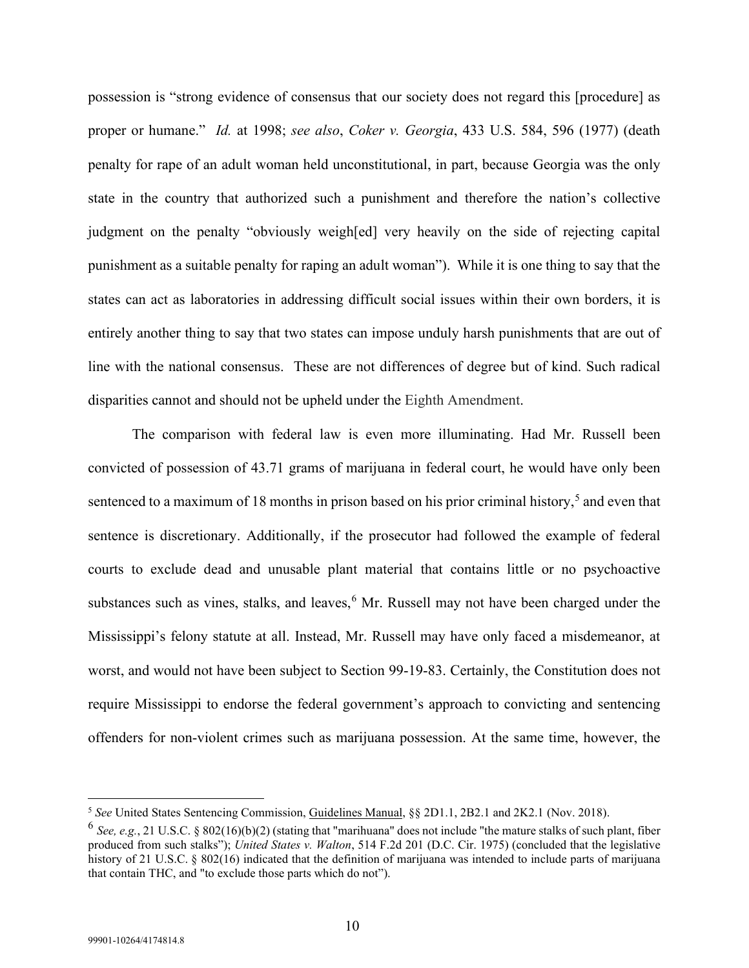possession is "strong evidence of consensus that our society does not regard this [procedure] as proper or humane." *Id.* at 1998; *see also*, *Coker v. Georgia*, 433 U.S. 584, 596 (1977) (death penalty for rape of an adult woman held unconstitutional, in part, because Georgia was the only state in the country that authorized such a punishment and therefore the nation's collective judgment on the penalty "obviously weigh[ed] very heavily on the side of rejecting capital punishment as a suitable penalty for raping an adult woman"). While it is one thing to say that the states can act as laboratories in addressing difficult social issues within their own borders, it is entirely another thing to say that two states can impose unduly harsh punishments that are out of line with the national consensus. These are not differences of degree but of kind. Such radical disparities cannot and should not be upheld under the Eighth Amendment.

The comparison with federal law is even more illuminating. Had Mr. Russell been convicted of possession of 43.71 grams of marijuana in federal court, he would have only been sentenced to a maximum of 18 months in prison based on his prior criminal history,<sup>[5](#page-15-0)</sup> and even that sentence is discretionary. Additionally, if the prosecutor had followed the example of federal courts to exclude dead and unusable plant material that contains little or no psychoactive substances such as vines, stalks, and leaves, <sup>[6](#page-15-1)</sup> Mr. Russell may not have been charged under the Mississippi's felony statute at all. Instead, Mr. Russell may have only faced a misdemeanor, at worst, and would not have been subject to Section 99-19-83. Certainly, the Constitution does not require Mississippi to endorse the federal government's approach to convicting and sentencing offenders for non-violent crimes such as marijuana possession. At the same time, however, the

<span id="page-15-0"></span><sup>5</sup> *See* United States Sentencing Commission, Guidelines Manual, §§ 2D1.1, 2B2.1 and 2K2.1 (Nov. 2018).

<span id="page-15-1"></span><sup>6</sup> *See, e.g.*, 21 U.S.C. § 802(16)(b)(2) (stating that "marihuana" does not include "the mature stalks of such plant, fiber produced from such stalks"); *United States v. Walton*, 514 F.2d 201 (D.C. Cir. 1975) (concluded that the legislative history of 21 U.S.C. § 802(16) indicated that the definition of marijuana was intended to include parts of marijuana that contain THC, and "to exclude those parts which do not").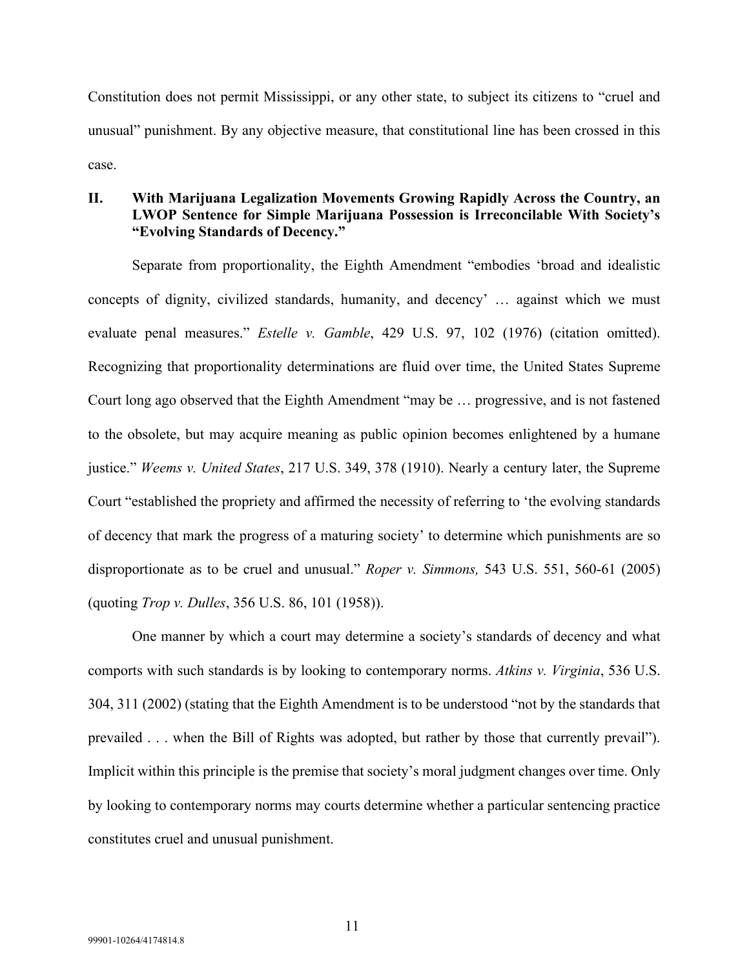Constitution does not permit Mississippi, or any other state, to subject its citizens to "cruel and unusual" punishment. By any objective measure, that constitutional line has been crossed in this case.

## <span id="page-16-0"></span>**II. With Marijuana Legalization Movements Growing Rapidly Across the Country, an LWOP Sentence for Simple Marijuana Possession is Irreconcilable With Society's "Evolving Standards of Decency."**

Separate from proportionality, the Eighth Amendment "embodies 'broad and idealistic concepts of dignity, civilized standards, humanity, and decency' … against which we must evaluate penal measures." *Estelle v. Gamble*, 429 U.S. 97, 102 (1976) (citation omitted). Recognizing that proportionality determinations are fluid over time, the United States Supreme Court long ago observed that the Eighth Amendment "may be … progressive, and is not fastened to the obsolete, but may acquire meaning as public opinion becomes enlightened by a humane justice." *Weems v. United States*, 217 U.S. 349, 378 (1910). Nearly a century later, the Supreme Court "established the propriety and affirmed the necessity of referring to 'the evolving standards of decency that mark the progress of a maturing society' to determine which punishments are so disproportionate as to be cruel and unusual." *Roper v. Simmons,* 543 U.S. 551, 560-61 (2005) (quoting *Trop v. Dulles*, 356 U.S. 86, 101 (1958)).

One manner by which a court may determine a society's standards of decency and what comports with such standards is by looking to contemporary norms. *Atkins v. Virginia*, 536 U.S. 304, 311 (2002) (stating that the Eighth Amendment is to be understood "not by the standards that prevailed . . . when the Bill of Rights was adopted, but rather by those that currently prevail"). Implicit within this principle is the premise that society's moral judgment changes over time. Only by looking to contemporary norms may courts determine whether a particular sentencing practice constitutes cruel and unusual punishment.

11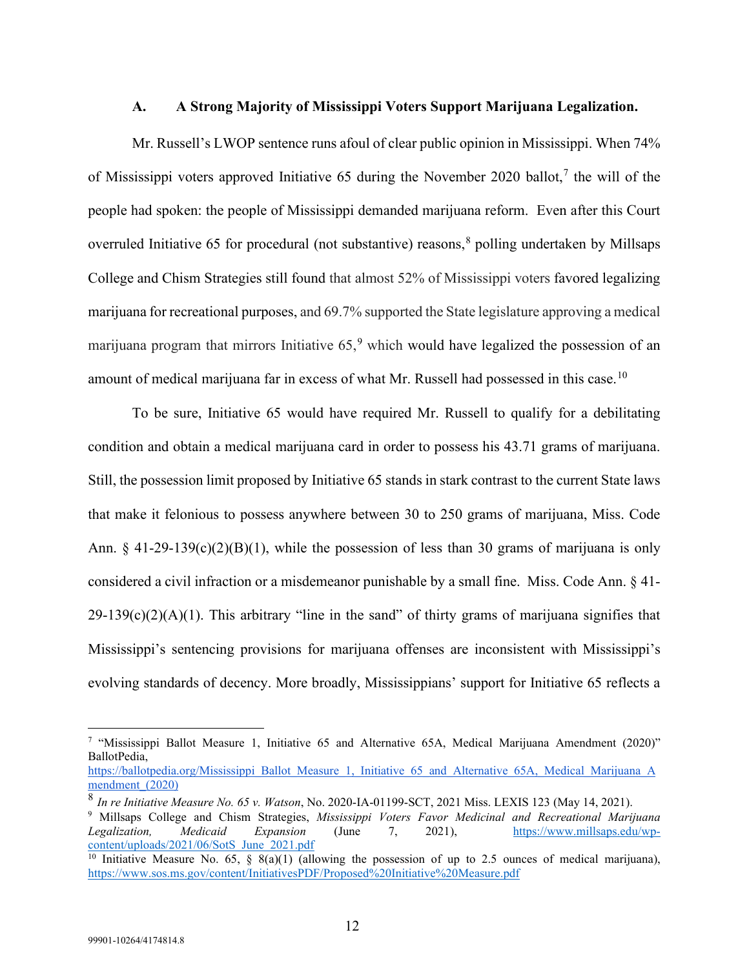### <span id="page-17-0"></span>**A. A Strong Majority of Mississippi Voters Support Marijuana Legalization.**

Mr. Russell's LWOP sentence runs afoul of clear public opinion in Mississippi. When 74% of Mississippi voters approved Initiative 65 during the November 2020 ballot,<sup>[7](#page-17-1)</sup> the will of the people had spoken: the people of Mississippi demanded marijuana reform. Even after this Court overruled Initiative 65 for procedural (not substantive) reasons, [8](#page-17-2) polling undertaken by Millsaps College and Chism Strategies still found that almost 52% of Mississippi voters favored legalizing marijuana for recreational purposes, and 69.7% supported the State legislature approving a medical marijuana program that mirrors Initiative 65,<sup>[9](#page-17-3)</sup> which would have legalized the possession of an amount of medical marijuana far in excess of what Mr. Russell had possessed in this case.<sup>[10](#page-17-4)</sup>

To be sure, Initiative 65 would have required Mr. Russell to qualify for a debilitating condition and obtain a medical marijuana card in order to possess his 43.71 grams of marijuana. Still, the possession limit proposed by Initiative 65 stands in stark contrast to the current State laws that make it felonious to possess anywhere between 30 to 250 grams of marijuana, Miss. Code Ann.  $\S$  41-29-139(c)(2)(B)(1), while the possession of less than 30 grams of marijuana is only considered a civil infraction or a misdemeanor punishable by a small fine. Miss. Code Ann. § 41-  $29-139(c)(2)(A)(1)$ . This arbitrary "line in the sand" of thirty grams of marijuana signifies that Mississippi's sentencing provisions for marijuana offenses are inconsistent with Mississippi's evolving standards of decency. More broadly, Mississippians' support for Initiative 65 reflects a

<span id="page-17-1"></span><sup>7</sup> "Mississippi Ballot Measure 1, Initiative 65 and Alternative 65A, Medical Marijuana Amendment (2020)" BallotPedia,

[https://ballotpedia.org/Mississippi\\_Ballot\\_Measure\\_1,\\_Initiative\\_65\\_and\\_Alternative\\_65A,\\_Medical\\_Marijuana\\_A](https://ballotpedia.org/Mississippi_Ballot_Measure_1,_Initiative_65_and_Alternative_65A,_Medical_Marijuana_Amendment_(2020)) mendment (2020)

<span id="page-17-2"></span><sup>8</sup> *In re Initiative Measure No. 65 v. Watson*, No. 2020-IA-01199-SCT, 2021 Miss. LEXIS 123 (May 14, 2021). 9 Millsaps College and Chism Strategies, *Mississippi Voters Favor Medicinal and Recreational Marijuana* 

<span id="page-17-3"></span>*Legalization, Medicaid Expansion* (June 7, 2021), https://www.millsaps.edu/wp-content/uploads/2021/06/SotS June 2021.pdf

<span id="page-17-4"></span><sup>&</sup>lt;sup>10</sup> Initiative Measure No. 65, § 8(a)(1) (allowing the possession of up to 2.5 ounces of medical marijuana), <https://www.sos.ms.gov/content/InitiativesPDF/Proposed%20Initiative%20Measure.pdf>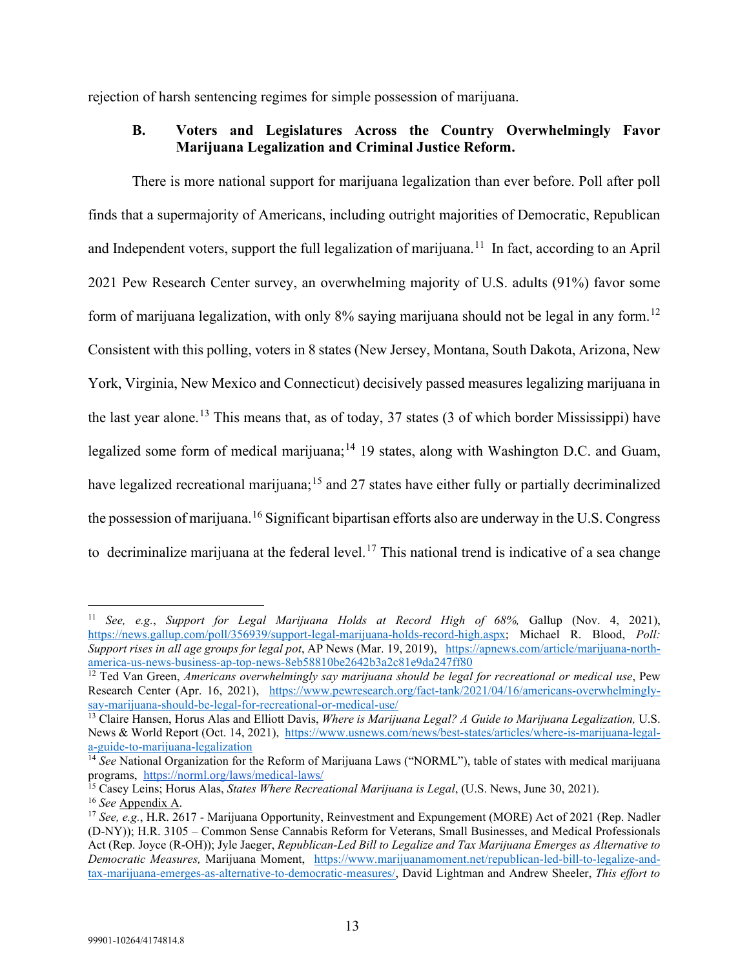<span id="page-18-0"></span>rejection of harsh sentencing regimes for simple possession of marijuana.

## **B. Voters and Legislatures Across the Country Overwhelmingly Favor Marijuana Legalization and Criminal Justice Reform.**

There is more national support for marijuana legalization than ever before. Poll after poll finds that a supermajority of Americans, including outright majorities of Democratic, Republican and Independent voters, support the full legalization of marijuana.<sup>[11](#page-18-1)</sup> In fact, according to an April 2021 Pew Research Center survey, an overwhelming majority of U.S. adults (91%) favor some form of marijuana legalization, with only 8% saying marijuana should not be legal in any form.<sup>[12](#page-18-2)</sup> Consistent with this polling, voters in 8 states (New Jersey, Montana, South Dakota, Arizona, New York, Virginia, New Mexico and Connecticut) decisively passed measures legalizing marijuana in the last year alone.<sup>[13](#page-18-3)</sup> This means that, as of today, 37 states (3 of which border Mississippi) have legalized some form of medical marijuana;<sup>[14](#page-18-4)</sup> 19 states, along with Washington D.C. and Guam, have legalized recreational marijuana;<sup>[15](#page-18-5)</sup> and 27 states have either fully or partially decriminalized the possession of marijuana. <sup>[16](#page-18-6)</sup> Significant bipartisan efforts also are underway in the U.S. Congress to decriminalize marijuana at the federal level.<sup>[17](#page-18-7)</sup> This national trend is indicative of a sea change

<span id="page-18-1"></span><sup>11</sup> *See, e.g.*, *Support for Legal Marijuana Holds at Record High of 68%,* Gallup (Nov. 4, 2021), [https://news.gallup.com/poll/356939/support-legal-marijuana-holds-record-high.aspx;](https://news.gallup.com/poll/356939/support-legal-marijuana-holds-record-high.aspx) Michael R. Blood, *Poll: Support rises in all age groups for legal pot*, AP News (Mar. 19, 2019), [https://apnews.com/article/marijuana-north](https://apnews.com/article/marijuana-north-america-us-news-business-ap-top-news-8eb58810be2642b3a2c81e9da247ff80)[america-us-news-business-ap-top-news-8eb58810be2642b3a2c81e9da247ff80](https://apnews.com/article/marijuana-north-america-us-news-business-ap-top-news-8eb58810be2642b3a2c81e9da247ff80)

<span id="page-18-2"></span><sup>&</sup>lt;sup>12</sup> Ted Van Green, *Americans overwhelmingly say marijuana should be legal for recreational or medical use*, Pew Research Center (Apr. 16, 2021), [https://www.pewresearch.org/fact-tank/2021/04/16/americans-overwhelmingly](https://www.pewresearch.org/fact-tank/2021/04/16/americans-overwhelmingly-say-marijuana-should-be-legal-for-recreational-or-medical-use/)[say-marijuana-should-be-legal-for-recreational-or-medical-use/](https://www.pewresearch.org/fact-tank/2021/04/16/americans-overwhelmingly-say-marijuana-should-be-legal-for-recreational-or-medical-use/)

<span id="page-18-3"></span><sup>13</sup> Claire Hansen, Horus Alas and Elliott Davis, *Where is Marijuana Legal? A Guide to Marijuana Legalization,* U.S. News & World Report (Oct. 14, 2021), [https://www.usnews.com/news/best-states/articles/where-is-marijuana-legal](https://www.usnews.com/news/best-states/articles/where-is-marijuana-legal-a-guide-to-marijuana-legalization)[a-guide-to-marijuana-legalization](https://www.usnews.com/news/best-states/articles/where-is-marijuana-legal-a-guide-to-marijuana-legalization)

<span id="page-18-4"></span><sup>&</sup>lt;sup>14</sup> See National Organization for the Reform of Marijuana Laws ("NORML"), table of states with medical marijuana programs, <https://norml.org/laws/medical-laws/>

<span id="page-18-5"></span><sup>15</sup> Casey Leins; Horus Alas, *States Where Recreational Marijuana is Legal*, (U.S. News, June 30, 2021). <sup>16</sup> *See* Appendix A.

<span id="page-18-7"></span><span id="page-18-6"></span><sup>17</sup> *See, e.g.*, H.R. 2617 - Marijuana Opportunity, Reinvestment and Expungement (MORE) Act of 2021 (Rep. Nadler (D-NY)); H.R. 3105 – Common Sense Cannabis Reform for Veterans, Small Businesses, and Medical Professionals Act (Rep. Joyce (R-OH)); Jyle Jaeger, *Republican-Led Bill to Legalize and Tax Marijuana Emerges as Alternative to Democratic Measures,* Marijuana Moment, [https://www.marijuanamoment.net/republican-led-bill-to-legalize-and](https://www.marijuanamoment.net/republican-led-bill-to-legalize-and-tax-marijuana-emerges-as-alternative-to-democratic-measures/)[tax-marijuana-emerges-as-alternative-to-democratic-measures/,](https://www.marijuanamoment.net/republican-led-bill-to-legalize-and-tax-marijuana-emerges-as-alternative-to-democratic-measures/) David Lightman and Andrew Sheeler, *This effort to*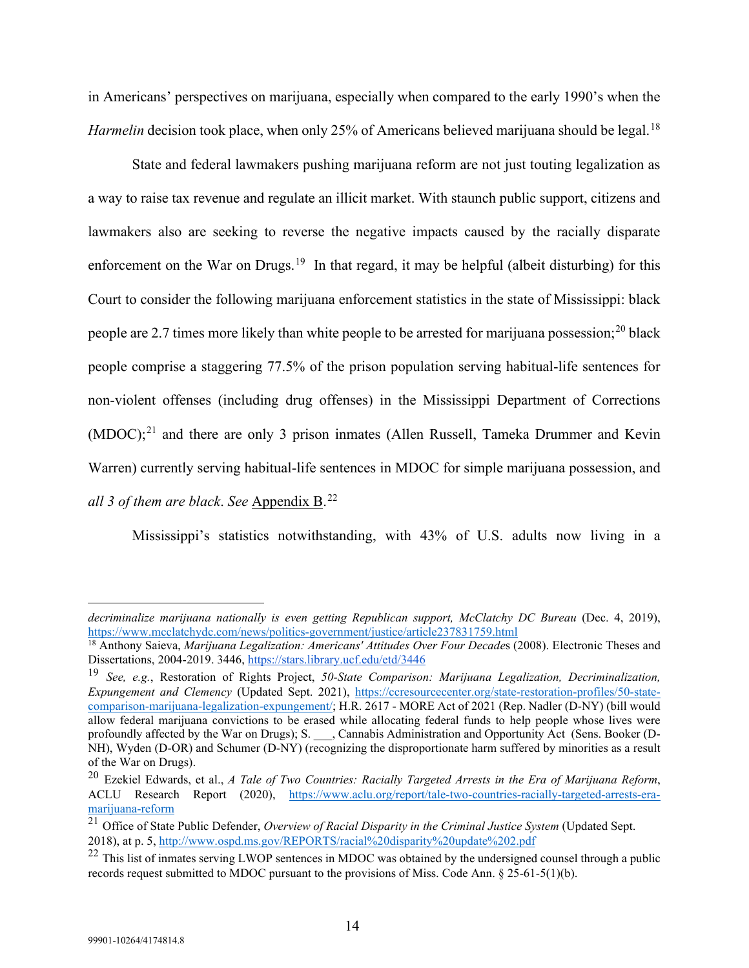in Americans' perspectives on marijuana, especially when compared to the early 1990's when the *Harmelin* decision took place, when only 25% of Americans believed marijuana should be legal.<sup>[18](#page-19-0)</sup>

State and federal lawmakers pushing marijuana reform are not just touting legalization as a way to raise tax revenue and regulate an illicit market. With staunch public support, citizens and lawmakers also are seeking to reverse the negative impacts caused by the racially disparate enforcement on the War on Drugs.<sup>19</sup> In that regard, it may be helpful (albeit disturbing) for this Court to consider the following marijuana enforcement statistics in the state of Mississippi: black people are 2.7 times more likely than white people to be arrested for marijuana possession;<sup>[20](#page-19-2)</sup> black people comprise a staggering 77.5% of the prison population serving habitual-life sentences for non-violent offenses (including drug offenses) in the Mississippi Department of Corrections  $(MDOC)$ <sup>[21](#page-19-3)</sup> and there are only 3 prison inmates (Allen Russell, Tameka Drummer and Kevin Warren) currently serving habitual-life sentences in MDOC for simple marijuana possession, and *all 3 of them are black*. *See* Appendix B. [22](#page-19-4)

Mississippi's statistics notwithstanding, with 43% of U.S. adults now living in a

*decriminalize marijuana nationally is even getting Republican support, McClatchy DC Bureau* (Dec. 4, 2019), <https://www.mcclatchydc.com/news/politics-government/justice/article237831759.html>

<span id="page-19-0"></span><sup>&</sup>lt;sup>18</sup> Anthony Saieva, *Marijuana Legalization: Americans' Attitudes Over Four Decades* (2008). Electronic Theses and Dissertations, 2004-2019. 3446[, https://stars.library.ucf.edu/etd/3446](https://stars.library.ucf.edu/etd/3446)

<span id="page-19-1"></span><sup>19</sup> *See, e.g.*, Restoration of Rights Project, *50-State Comparison: Marijuana Legalization, Decriminalization, Expungement and Clemency* (Updated Sept. 2021), [https://ccresourcecenter.org/state-restoration-profiles/50-state](https://ccresourcecenter.org/state-restoration-profiles/50-state-comparison-marijuana-legalization-expungement/)[comparison-marijuana-legalization-expungement/;](https://ccresourcecenter.org/state-restoration-profiles/50-state-comparison-marijuana-legalization-expungement/) H.R. 2617 - MORE Act of 2021 (Rep. Nadler (D-NY) (bill would allow federal marijuana convictions to be erased while allocating federal funds to help people whose lives were profoundly affected by the War on Drugs); S. cannabis Administration and Opportunity Act (Sens. Booker (D-NH), Wyden (D-OR) and Schumer (D-NY) (recognizing the disproportionate harm suffered by minorities as a result of the War on Drugs).<br><sup>20</sup> Ezekiel Edwards, et al., *A Tale of Two Countries: Racially Targeted Arrests in the Era of Marijuana Reform*,

<span id="page-19-2"></span>ACLU Research Report (2020), [https://www.aclu.org/report/tale-two-countries-racially-targeted-arrests-era](https://www.aclu.org/report/tale-two-countries-racially-targeted-arrests-era-marijuana-reform)[marijuana-reform](https://www.aclu.org/report/tale-two-countries-racially-targeted-arrests-era-marijuana-reform)

<span id="page-19-3"></span><sup>&</sup>lt;sup>21</sup> Office of State Public Defender, *Overview of Racial Disparity in the Criminal Justice System* (Updated Sept. 2018), at p. 5,<http://www.ospd.ms.gov/REPORTS/racial%20disparity%20update%202.pdf>

<span id="page-19-4"></span><sup>&</sup>lt;sup>22</sup> This list of inmates serving LWOP sentences in MDOC was obtained by the undersigned counsel through a public records request submitted to MDOC pursuant to the provisions of Miss. Code Ann. § 25-61-5(1)(b).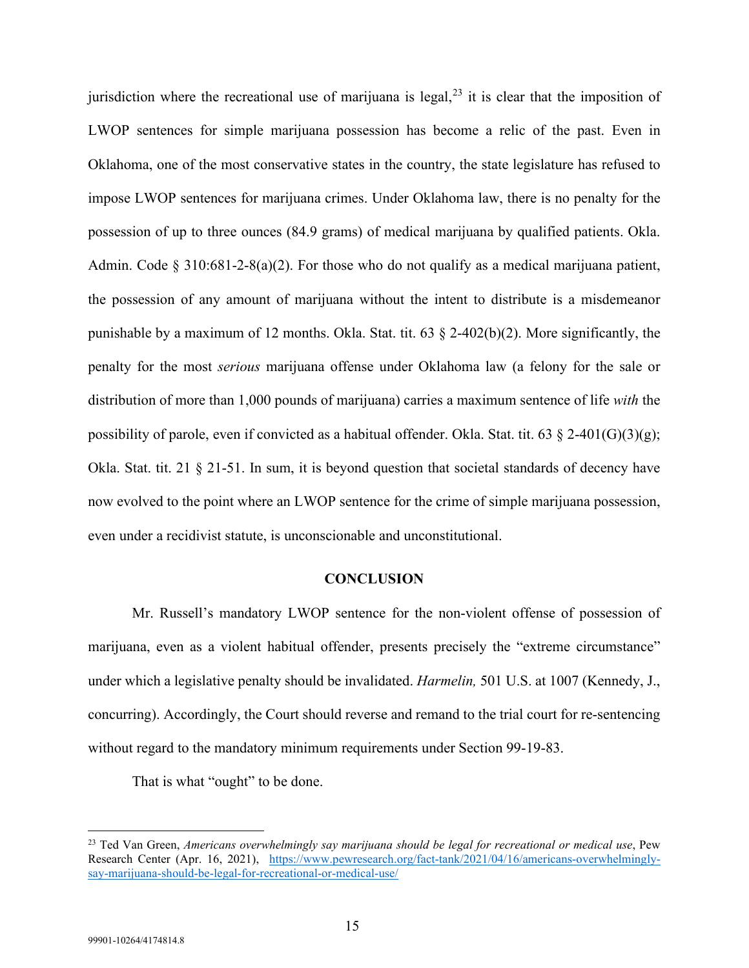jurisdiction where the recreational use of marijuana is legal, $^{23}$  $^{23}$  $^{23}$  it is clear that the imposition of LWOP sentences for simple marijuana possession has become a relic of the past. Even in Oklahoma, one of the most conservative states in the country, the state legislature has refused to impose LWOP sentences for marijuana crimes. Under Oklahoma law, there is no penalty for the possession of up to three ounces (84.9 grams) of medical marijuana by qualified patients. Okla. Admin. Code  $\S 310:681-2-8(a)(2)$ . For those who do not qualify as a medical marijuana patient, the possession of any amount of marijuana without the intent to distribute is a misdemeanor punishable by a maximum of 12 months. Okla. Stat. tit. 63 § 2-402(b)(2). More significantly, the penalty for the most *serious* marijuana offense under Oklahoma law (a felony for the sale or distribution of more than 1,000 pounds of marijuana) carries a maximum sentence of life *with* the possibility of parole, even if convicted as a habitual offender. Okla. Stat. tit. 63  $\frac{2-401(G)(3)(g)}{g}$ ; Okla. Stat. tit. 21 § 21-51. In sum, it is beyond question that societal standards of decency have now evolved to the point where an LWOP sentence for the crime of simple marijuana possession, even under a recidivist statute, is unconscionable and unconstitutional.

#### **CONCLUSION**

<span id="page-20-0"></span>Mr. Russell's mandatory LWOP sentence for the non-violent offense of possession of marijuana, even as a violent habitual offender, presents precisely the "extreme circumstance" under which a legislative penalty should be invalidated. *Harmelin,* 501 U.S. at 1007 (Kennedy, J., concurring). Accordingly, the Court should reverse and remand to the trial court for re-sentencing without regard to the mandatory minimum requirements under Section 99-19-83.

That is what "ought" to be done.

<span id="page-20-1"></span><sup>23</sup> Ted Van Green, *Americans overwhelmingly say marijuana should be legal for recreational or medical use*, Pew Research Center (Apr. 16, 2021), [https://www.pewresearch.org/fact-tank/2021/04/16/americans-overwhelmingly](https://www.pewresearch.org/fact-tank/2021/04/16/americans-overwhelmingly-say-marijuana-should-be-legal-for-recreational-or-medical-use/)[say-marijuana-should-be-legal-for-recreational-or-medical-use/](https://www.pewresearch.org/fact-tank/2021/04/16/americans-overwhelmingly-say-marijuana-should-be-legal-for-recreational-or-medical-use/)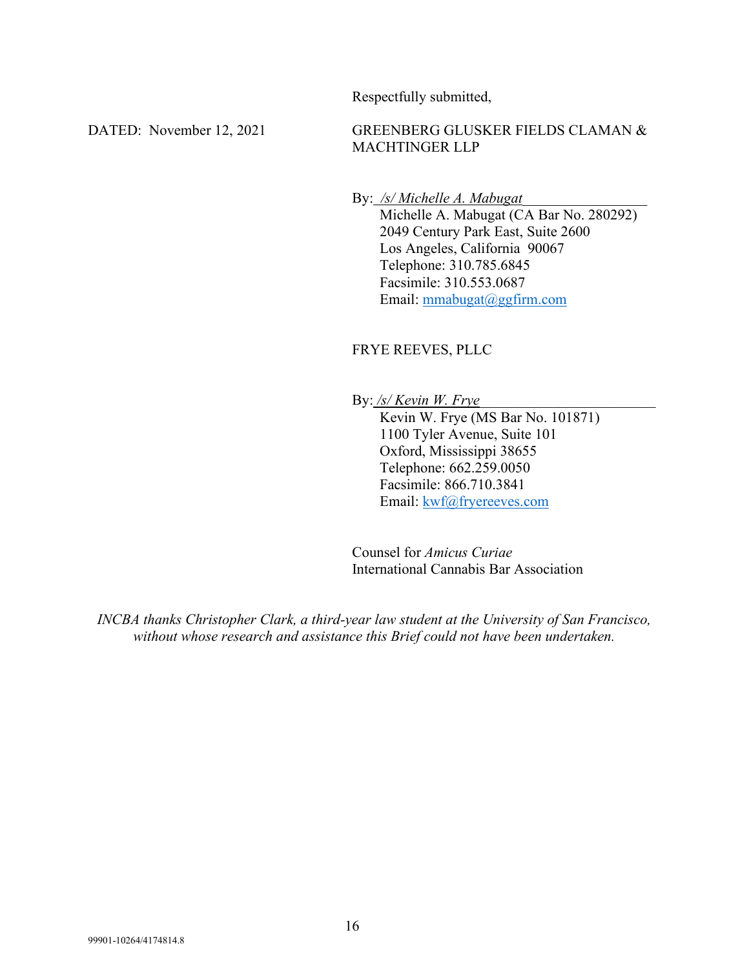Respectfully submitted,

## DATED: November 12, 2021 GREENBERG GLUSKER FIELDS CLAMAN & MACHTINGER LLP

By: /s/ Michelle A. Mabugat

Michelle A. Mabugat (CA Bar No. 280292) 2049 Century Park East, Suite 2600 Los Angeles, California 90067 Telephone: 310.785.6845 Facsimile: 310.553.0687 Email: [mmabugat@ggfirm.com](mailto:mmabugat@ggfirm.com)

## FRYE REEVES, PLLC

By: */s/ Kevin W. Frye*\_\_\_\_\_\_\_\_\_\_\_\_\_\_\_\_\_\_\_\_\_\_\_\_

Kevin W. Frye (MS Bar No. 101871) 1100 Tyler Avenue, Suite 101 Oxford, Mississippi 38655 Telephone: 662.259.0050 Facsimile: 866.710.3841 Email: [kwf@fryereeves.com](mailto:kwf@fryereeves.com)

Counsel for *Amicus Curiae*  International Cannabis Bar Association

*INCBA thanks Christopher Clark, a third-year law student at the University of San Francisco, without whose research and assistance this Brief could not have been undertaken.*